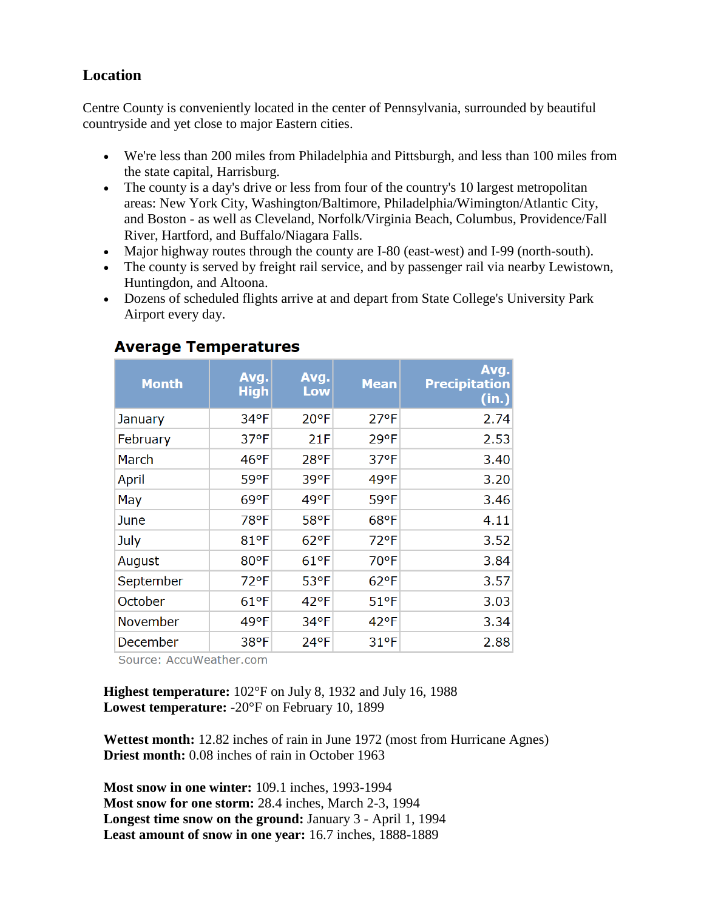# **Location**

Centre County is conveniently located in the center of Pennsylvania, surrounded by beautiful countryside and yet close to major Eastern cities.

- We're less than 200 miles from Philadelphia and Pittsburgh, and less than 100 miles from the state capital, Harrisburg.
- The county is a day's drive or less from four of the country's 10 largest metropolitan areas: New York City, Washington/Baltimore, Philadelphia/Wimington/Atlantic City, and Boston - as well as Cleveland, Norfolk/Virginia Beach, Columbus, Providence/Fall River, Hartford, and Buffalo/Niagara Falls.
- Major highway routes through the county are I-80 (east-west) and I-99 (north-south).
- The county is served by freight rail service, and by passenger rail via nearby Lewistown, Huntingdon, and Altoona.
- Dozens of scheduled flights arrive at and depart from State College's University Park Airport every day.

| <b>Month</b> | Avg.<br><b>High</b> | Avg.<br>Low   | <b>Mean</b>    | Avg.<br><b>Precipitation</b><br>(in.) |
|--------------|---------------------|---------------|----------------|---------------------------------------|
| January      | 34°F                | 20°F          | $27^{\circ}F$  | 2.74                                  |
| February     | 37°F                | 21F           | 29°F           | 2.53                                  |
| March        | 46°F                | 28°F          | $37^{\circ}F$  | 3.40                                  |
| April        | 59°F                | 39°F          | 49°F           | 3.20                                  |
| May          | $69°$ F             | 49°F          | 59°F           | 3.46                                  |
| June         | 78°F                | 58°F          | $68^{\circ}$ F | 4.11                                  |
| July         | 81°F                | $62$ °F       | $72^{\circ}F$  | 3.52                                  |
| August       | 80°F                | $61^{\circ}F$ | 70°F           | 3.84                                  |
| September    | 72°F                | 53°F          | $62$ °F        | 3.57                                  |
| October      | $61^{\circ}F$       | $42^{\circ}F$ | $51$ °F        | 3.03                                  |
| November     | 49°F                | 34°F          | $42$ °F        | 3.34                                  |
| December     | 38°F                | 24°F          | 31°F           | 2.88                                  |

## **Average Temperatures**

Source: AccuWeather.com

**Highest temperature:** 102°F on July 8, 1932 and July 16, 1988 **Lowest temperature:** -20°F on February 10, 1899

**Wettest month:** 12.82 inches of rain in June 1972 (most from Hurricane Agnes) **Driest month:** 0.08 inches of rain in October 1963

**Most snow in one winter:** 109.1 inches, 1993-1994 **Most snow for one storm:** 28.4 inches, March 2-3, 1994 **Longest time snow on the ground:** January 3 - April 1, 1994 **Least amount of snow in one year:** 16.7 inches, 1888-1889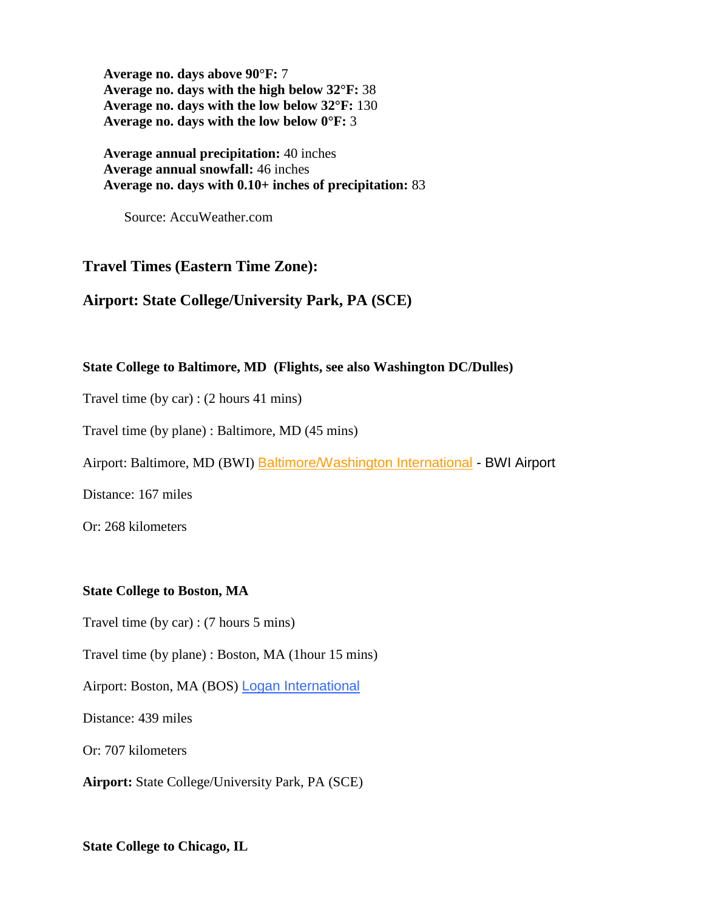**Average no. days above 90°F:** 7 **Average no. days with the high below 32°F:** 38 **Average no. days with the low below 32°F:** 130 **Average no. days with the low below 0°F:** 3

**Average annual precipitation:** 40 inches **Average annual snowfall:** 46 inches **Average no. days with 0.10+ inches of precipitation:** 83

Source: AccuWeather.com

## **Travel Times (Eastern Time Zone):**

## **Airport: State College/University Park, PA (SCE)**

### **State College to Baltimore, MD (Flights, see also Washington DC/Dulles)**

Travel time (by car) : (2 hours 41 mins)

Travel time (by plane) : Baltimore, MD (45 mins)

Airport: Baltimore, MD (BWI) [Baltimore/Washington International](http://www.bwiairport.com/) - BWI Airport

Distance: 167 miles

Or: 268 kilometers

### **State College to Boston, MA**

Travel time (by car) : (7 hours 5 mins)

Travel time (by plane) : Boston, MA (1hour 15 mins)

Airport: Boston, MA (BOS) [Logan International](http://www.massport.com/)

Distance: 439 miles

Or: 707 kilometers

**Airport:** State College/University Park, PA (SCE)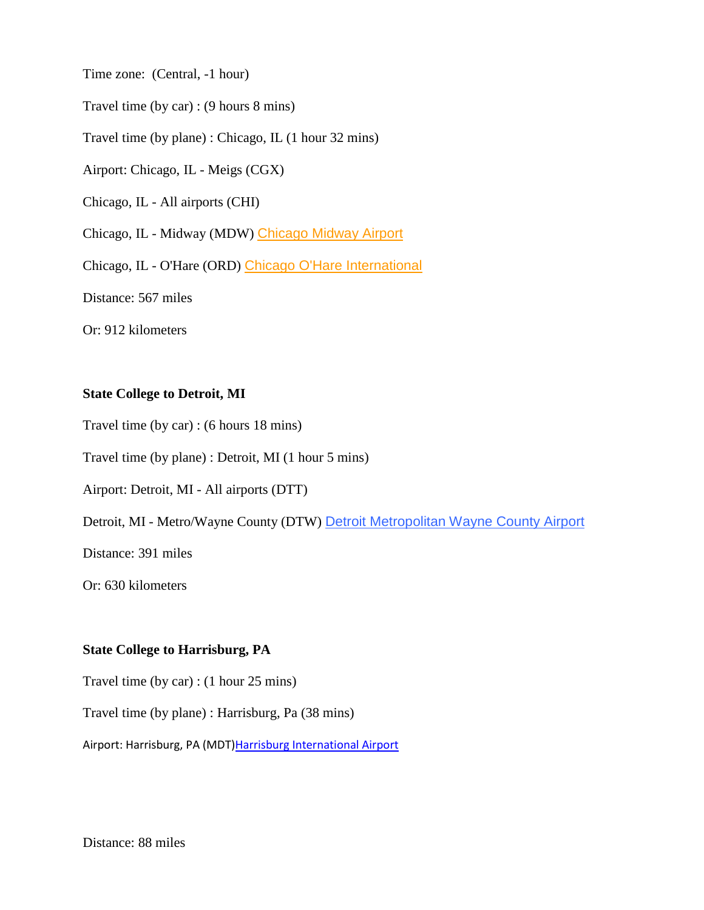Time zone: (Central, -1 hour)

Travel time (by car) : (9 hours 8 mins)

Travel time (by plane) : Chicago, IL (1 hour 32 mins)

Airport: Chicago, IL - Meigs (CGX)

Chicago, IL - All airports (CHI)

Chicago, IL - Midway (MDW) [Chicago Midway Airport](http://www.flychicago.com/midway/home.asp)

Chicago, IL - O'Hare (ORD) [Chicago O'Hare International](http://www.ohare.com/)

Distance: 567 miles

Or: 912 kilometers

### **State College to Detroit, MI**

Travel time (by car) : (6 hours 18 mins)

Travel time (by plane) : Detroit, MI (1 hour 5 mins)

Airport: Detroit, MI - All airports (DTT)

Detroit, MI - Metro/Wayne County (DTW) [Detroit Metropolitan Wayne County Airport](http://www.metroairport.com/)

Distance: 391 miles

Or: 630 kilometers

### **State College to Harrisburg, PA**

Travel time (by car) : (1 hour 25 mins)

Travel time (by plane) : Harrisburg, Pa (38 mins)

Airport: Harrisburg, PA (MDT) Harrisburg International Airport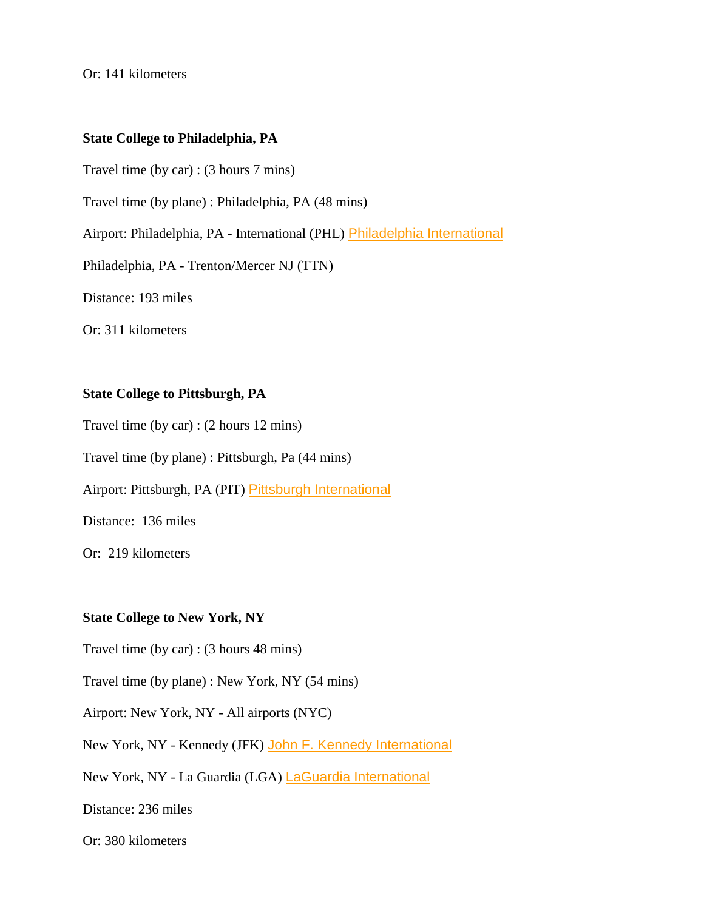Or: 141 kilometers

### **State College to Philadelphia, PA**

Travel time (by car) : (3 hours 7 mins)

Travel time (by plane) : Philadelphia, PA (48 mins)

Airport: Philadelphia, PA - International (PHL) [Philadelphia International](http://www.phl.org/)

Philadelphia, PA - Trenton/Mercer NJ (TTN)

Distance: 193 miles

Or: 311 kilometers

## **State College to Pittsburgh, PA**

Travel time (by car) : (2 hours 12 mins)

Travel time (by plane) : Pittsburgh, Pa (44 mins)

Airport: Pittsburgh, PA (PIT) [Pittsburgh International](http://www.pitairport.com/)

Distance: 136 miles

Or: 219 kilometers

#### **State College to New York, NY**

Travel time (by car) : (3 hours 48 mins)

Travel time (by plane) : New York, NY (54 mins)

Airport: New York, NY - All airports (NYC)

New York, NY - Kennedy (JFK) [John F. Kennedy International](http://www.panynj.gov/aviation/jfkframe.HTM)

New York, NY - La Guardia (LGA) [LaGuardia International](http://www.panynj.gov/aviation/lgaframe.HTM)

Distance: 236 miles

Or: 380 kilometers